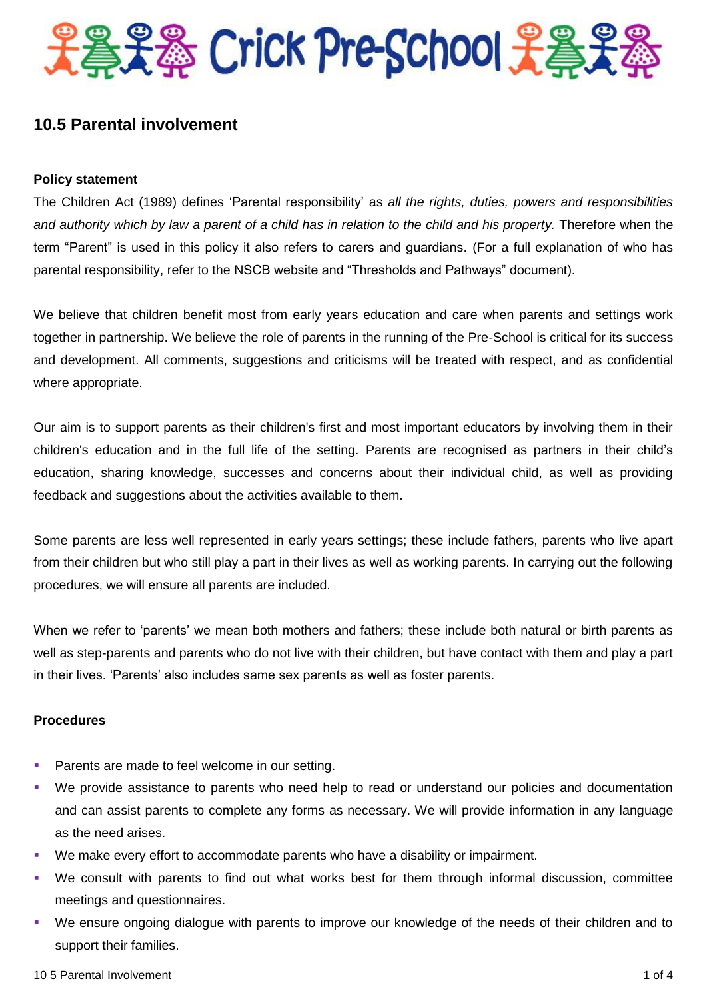

# **10.5 Parental involvement**

### **Policy statement**

The Children Act (1989) defines 'Parental responsibility' as *all the rights, duties, powers and responsibilities*  and authority which by law a parent of a child has in relation to the child and his property. Therefore when the term "Parent" is used in this policy it also refers to carers and guardians. (For a full explanation of who has parental responsibility, refer to the NSCB website and "Thresholds and Pathways" document).

We believe that children benefit most from early years education and care when parents and settings work together in partnership. We believe the role of parents in the running of the Pre-School is critical for its success and development. All comments, suggestions and criticisms will be treated with respect, and as confidential where appropriate.

Our aim is to support parents as their children's first and most important educators by involving them in their children's education and in the full life of the setting. Parents are recognised as partners in their child's education, sharing knowledge, successes and concerns about their individual child, as well as providing feedback and suggestions about the activities available to them.

Some parents are less well represented in early years settings; these include fathers, parents who live apart from their children but who still play a part in their lives as well as working parents. In carrying out the following procedures, we will ensure all parents are included.

When we refer to 'parents' we mean both mothers and fathers; these include both natural or birth parents as well as step-parents and parents who do not live with their children, but have contact with them and play a part in their lives. 'Parents' also includes same sex parents as well as foster parents.

### **Procedures**

- Parents are made to feel welcome in our setting.
- We provide assistance to parents who need help to read or understand our policies and documentation and can assist parents to complete any forms as necessary. We will provide information in any language as the need arises.
- We make every effort to accommodate parents who have a disability or impairment.
- We consult with parents to find out what works best for them through informal discussion, committee meetings and questionnaires.
- We ensure ongoing dialogue with parents to improve our knowledge of the needs of their children and to support their families.

#### 10 5 Parental Involvement 1 of 4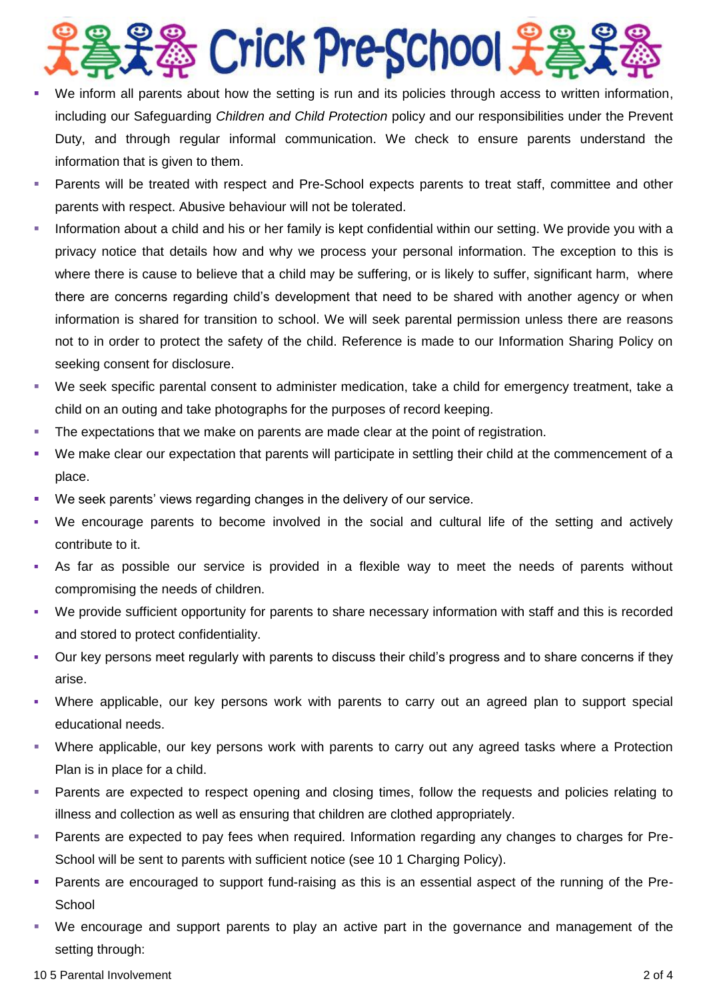# 器 Crick Pre-School 光着

- We inform all parents about how the setting is run and its policies through access to written information, including our Safeguarding *Children and Child Protection* policy and our responsibilities under the Prevent Duty, and through regular informal communication. We check to ensure parents understand the information that is given to them.
- Parents will be treated with respect and Pre-School expects parents to treat staff, committee and other parents with respect. Abusive behaviour will not be tolerated.
- **Information about a child and his or her family is kept confidential within our setting. We provide you with a** privacy notice that details how and why we process your personal information. The exception to this is where there is cause to believe that a child may be suffering, or is likely to suffer, significant harm, where there are concerns regarding child's development that need to be shared with another agency or when information is shared for transition to school. We will seek parental permission unless there are reasons not to in order to protect the safety of the child. Reference is made to our Information Sharing Policy on seeking consent for disclosure.
- We seek specific parental consent to administer medication, take a child for emergency treatment, take a child on an outing and take photographs for the purposes of record keeping.
- The expectations that we make on parents are made clear at the point of registration.
- We make clear our expectation that parents will participate in settling their child at the commencement of a place.
- We seek parents' views regarding changes in the delivery of our service.
- We encourage parents to become involved in the social and cultural life of the setting and actively contribute to it.
- As far as possible our service is provided in a flexible way to meet the needs of parents without compromising the needs of children.
- We provide sufficient opportunity for parents to share necessary information with staff and this is recorded and stored to protect confidentiality.
- Our key persons meet regularly with parents to discuss their child's progress and to share concerns if they arise.
- Where applicable, our key persons work with parents to carry out an agreed plan to support special educational needs.
- Where applicable, our key persons work with parents to carry out any agreed tasks where a Protection Plan is in place for a child.
- Parents are expected to respect opening and closing times, follow the requests and policies relating to illness and collection as well as ensuring that children are clothed appropriately.
- Parents are expected to pay fees when required. Information regarding any changes to charges for Pre-School will be sent to parents with sufficient notice (see 10 1 Charging Policy).
- Parents are encouraged to support fund-raising as this is an essential aspect of the running of the Pre-**School**
- We encourage and support parents to play an active part in the governance and management of the setting through:

#### 10 5 Parental Involvement 2 of 4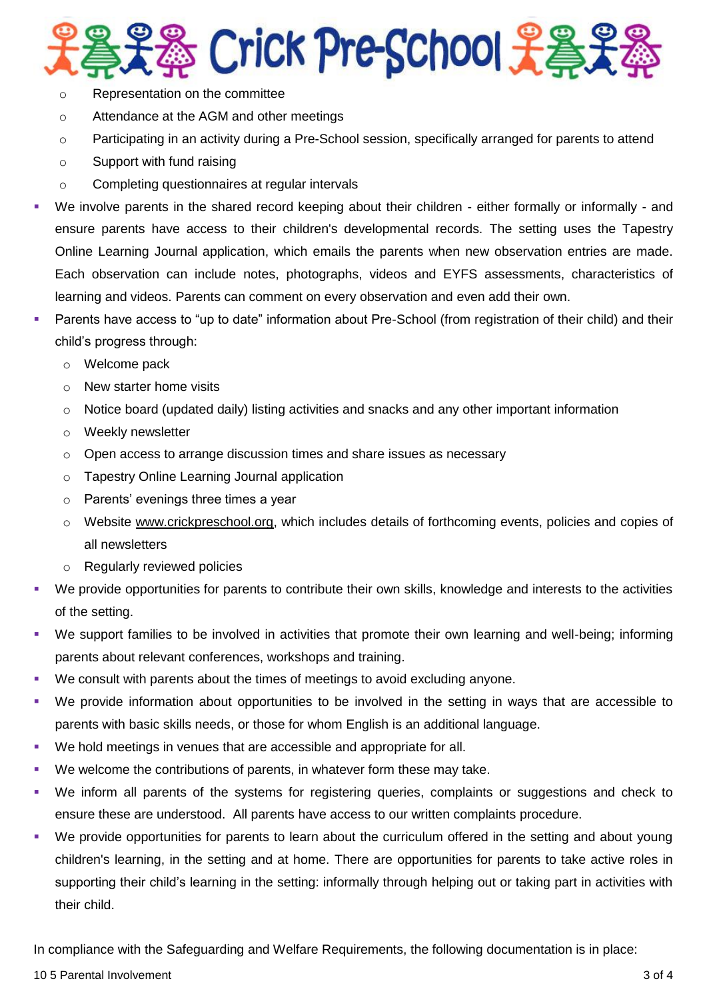# 器 Crick Pre-School 光学史

- o Representation on the committee
- o Attendance at the AGM and other meetings
- o Participating in an activity during a Pre-School session, specifically arranged for parents to attend
- o Support with fund raising
- o Completing questionnaires at regular intervals
- We involve parents in the shared record keeping about their children either formally or informally and ensure parents have access to their children's developmental records. The setting uses the Tapestry Online Learning Journal application, which emails the parents when new observation entries are made. Each observation can include notes, photographs, videos and EYFS assessments, characteristics of learning and videos. Parents can comment on every observation and even add their own.
- Parents have access to "up to date" information about Pre-School (from registration of their child) and their child's progress through:
	- o Welcome pack
	- o New starter home visits
	- $\circ$  Notice board (updated daily) listing activities and snacks and any other important information
	- o Weekly newsletter
	- o Open access to arrange discussion times and share issues as necessary
	- o Tapestry Online Learning Journal application
	- o Parents' evenings three times a year
	- o Website [www.crickpreschool.org,](http://www.crickpreschool.org/) which includes details of forthcoming events, policies and copies of all newsletters
	- o Regularly reviewed policies
- We provide opportunities for parents to contribute their own skills, knowledge and interests to the activities of the setting.
- We support families to be involved in activities that promote their own learning and well-being; informing parents about relevant conferences, workshops and training.
- We consult with parents about the times of meetings to avoid excluding anyone.
- We provide information about opportunities to be involved in the setting in ways that are accessible to parents with basic skills needs, or those for whom English is an additional language.
- We hold meetings in venues that are accessible and appropriate for all.
- We welcome the contributions of parents, in whatever form these may take.
- We inform all parents of the systems for registering queries, complaints or suggestions and check to ensure these are understood. All parents have access to our written complaints procedure.
- We provide opportunities for parents to learn about the curriculum offered in the setting and about young children's learning, in the setting and at home. There are opportunities for parents to take active roles in supporting their child's learning in the setting: informally through helping out or taking part in activities with their child.

In compliance with the Safeguarding and Welfare Requirements, the following documentation is in place:

### 10 5 Parental Involvement 3 of 4